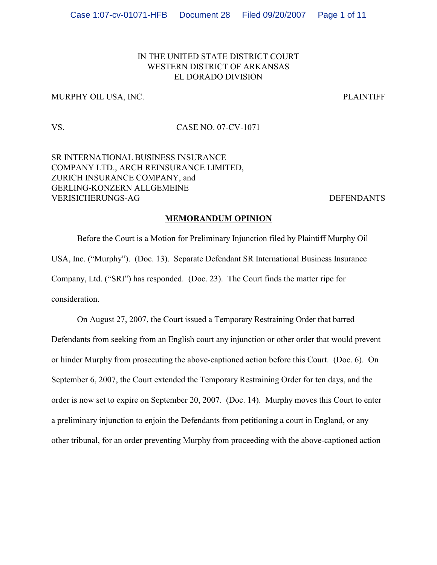## IN THE UNITED STATE DISTRICT COURT WESTERN DISTRICT OF ARKANSAS EL DORADO DIVISION

## MURPHY OIL USA, INC. PLAINTIFF

## VS. CASE NO. 07-CV-1071

SR INTERNATIONAL BUSINESS INSURANCE COMPANY LTD., ARCH REINSURANCE LIMITED, ZURICH INSURANCE COMPANY, and GERLING-KONZERN ALLGEMEINE VERISICHERUNGS-AG DEFENDANTS

### **MEMORANDUM OPINION**

Before the Court is a Motion for Preliminary Injunction filed by Plaintiff Murphy Oil USA, Inc. ("Murphy"). (Doc. 13). Separate Defendant SR International Business Insurance Company, Ltd. ("SRI") has responded. (Doc. 23). The Court finds the matter ripe for consideration.

On August 27, 2007, the Court issued a Temporary Restraining Order that barred Defendants from seeking from an English court any injunction or other order that would prevent or hinder Murphy from prosecuting the above-captioned action before this Court. (Doc. 6). On September 6, 2007, the Court extended the Temporary Restraining Order for ten days, and the order is now set to expire on September 20, 2007. (Doc. 14). Murphy moves this Court to enter a preliminary injunction to enjoin the Defendants from petitioning a court in England, or any other tribunal, for an order preventing Murphy from proceeding with the above-captioned action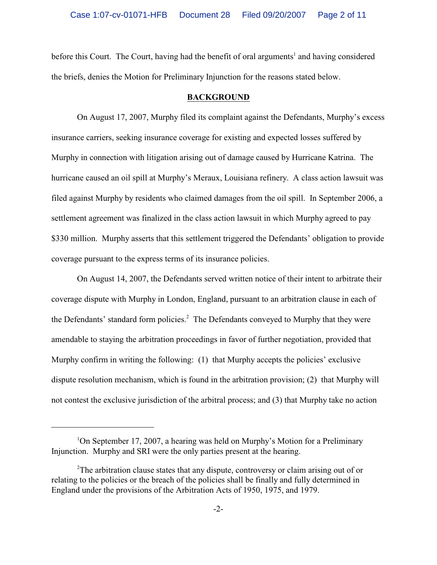before this Court. The Court, having had the benefit of oral arguments<sup>1</sup> and having considered the briefs, denies the Motion for Preliminary Injunction for the reasons stated below.

#### **BACKGROUND**

On August 17, 2007, Murphy filed its complaint against the Defendants, Murphy's excess insurance carriers, seeking insurance coverage for existing and expected losses suffered by Murphy in connection with litigation arising out of damage caused by Hurricane Katrina. The hurricane caused an oil spill at Murphy's Meraux, Louisiana refinery. A class action lawsuit was filed against Murphy by residents who claimed damages from the oil spill. In September 2006, a settlement agreement was finalized in the class action lawsuit in which Murphy agreed to pay \$330 million. Murphy asserts that this settlement triggered the Defendants' obligation to provide coverage pursuant to the express terms of its insurance policies.

On August 14, 2007, the Defendants served written notice of their intent to arbitrate their coverage dispute with Murphy in London, England, pursuant to an arbitration clause in each of the Defendants' standard form policies. $2$  The Defendants conveyed to Murphy that they were amendable to staying the arbitration proceedings in favor of further negotiation, provided that Murphy confirm in writing the following: (1) that Murphy accepts the policies' exclusive dispute resolution mechanism, which is found in the arbitration provision; (2) that Murphy will not contest the exclusive jurisdiction of the arbitral process; and (3) that Murphy take no action

<sup>&</sup>lt;sup>1</sup>On September 17, 2007, a hearing was held on Murphy's Motion for a Preliminary Injunction. Murphy and SRI were the only parties present at the hearing.

 $2^2$ The arbitration clause states that any dispute, controversy or claim arising out of or relating to the policies or the breach of the policies shall be finally and fully determined in England under the provisions of the Arbitration Acts of 1950, 1975, and 1979.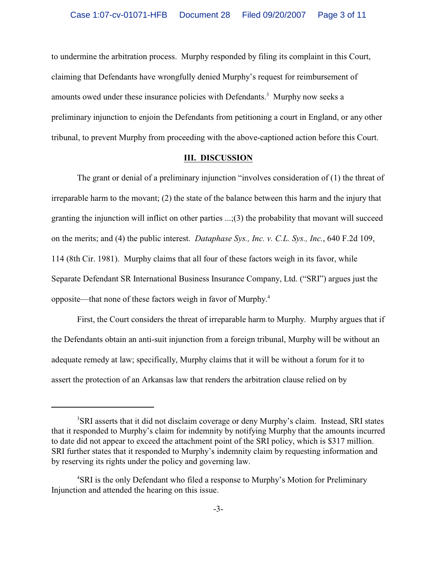to undermine the arbitration process. Murphy responded by filing its complaint in this Court, claiming that Defendants have wrongfully denied Murphy's request for reimbursement of amounts owed under these insurance policies with Defendants.<sup>3</sup> Murphy now seeks a preliminary injunction to enjoin the Defendants from petitioning a court in England, or any other tribunal, to prevent Murphy from proceeding with the above-captioned action before this Court.

### **III. DISCUSSION**

The grant or denial of a preliminary injunction "involves consideration of (1) the threat of irreparable harm to the movant; (2) the state of the balance between this harm and the injury that granting the injunction will inflict on other parties ...;(3) the probability that movant will succeed on the merits; and (4) the public interest. *Dataphase Sys., Inc. v. C.L. Sys., Inc.*, 640 F.2d 109, 114 (8th Cir. 1981). Murphy claims that all four of these factors weigh in its favor, while Separate Defendant SR International Business Insurance Company, Ltd. ("SRI") argues just the opposite—that none of these factors weigh in favor of Murphy.<sup>4</sup>

First, the Court considers the threat of irreparable harm to Murphy. Murphy argues that if the Defendants obtain an anti-suit injunction from a foreign tribunal, Murphy will be without an adequate remedy at law; specifically, Murphy claims that it will be without a forum for it to assert the protection of an Arkansas law that renders the arbitration clause relied on by

<sup>&</sup>lt;sup>3</sup>SRI asserts that it did not disclaim coverage or deny Murphy's claim. Instead, SRI states that it responded to Murphy's claim for indemnity by notifying Murphy that the amounts incurred to date did not appear to exceed the attachment point of the SRI policy, which is \$317 million. SRI further states that it responded to Murphy's indemnity claim by requesting information and by reserving its rights under the policy and governing law.

<sup>&</sup>lt;sup>4</sup>SRI is the only Defendant who filed a response to Murphy's Motion for Preliminary Injunction and attended the hearing on this issue.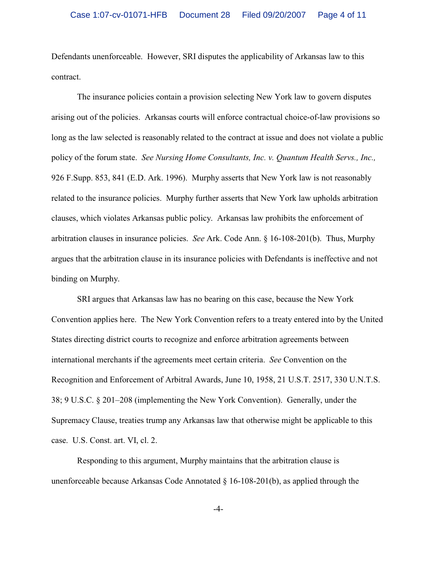Defendants unenforceable. However, SRI disputes the applicability of Arkansas law to this contract.

The insurance policies contain a provision selecting New York law to govern disputes arising out of the policies. Arkansas courts will enforce contractual choice-of-law provisions so long as the law selected is reasonably related to the contract at issue and does not violate a public policy of the forum state. *See Nursing Home Consultants, Inc. v. Quantum Health Servs., Inc.,* 926 F.Supp. 853, 841 (E.D. Ark. 1996).Murphy asserts that New York law is not reasonably related to the insurance policies. Murphy further asserts that New York law upholds arbitration clauses, which violates Arkansas public policy. Arkansas law prohibits the enforcement of arbitration clauses in insurance policies. *See* Ark. Code Ann. § 16-108-201(b). Thus, Murphy argues that the arbitration clause in its insurance policies with Defendants is ineffective and not binding on Murphy.

SRI argues that Arkansas law has no bearing on this case, because the New York Convention applies here. The New York Convention refers to a treaty entered into by the United States directing district courts to recognize and enforce arbitration agreements between international merchants if the agreements meet certain criteria. *See* Convention on the Recognition and Enforcement of Arbitral Awards, June 10, 1958, 21 U.S.T. 2517, 330 U.N.T.S. 38; 9 U.S.C. § 201–208 (implementing the New York Convention). Generally, under the Supremacy Clause, treaties trump any Arkansas law that otherwise might be applicable to this case. U.S. Const. art. VI, cl. 2.

Responding to this argument, Murphy maintains that the arbitration clause is unenforceable because Arkansas Code Annotated § 16-108-201(b), as applied through the

-4-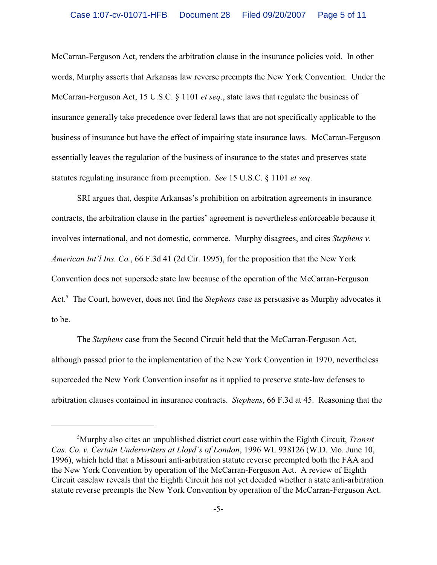McCarran-Ferguson Act, renders the arbitration clause in the insurance policies void. In other words, Murphy asserts that Arkansas law reverse preempts the New York Convention. Under the McCarran-Ferguson Act, 15 U.S.C. § 1101 *et seq*., state laws that regulate the business of insurance generally take precedence over federal laws that are not specifically applicable to the business of insurance but have the effect of impairing state insurance laws. McCarran-Ferguson essentially leaves the regulation of the business of insurance to the states and preserves state statutes regulating insurance from preemption. *See* 15 U.S.C. § 1101 *et seq*.

SRI argues that, despite Arkansas's prohibition on arbitration agreements in insurance contracts, the arbitration clause in the parties' agreement is nevertheless enforceable because it involves international, and not domestic, commerce. Murphy disagrees, and cites *Stephens v. American Int'l Ins. Co.*, 66 F.3d 41 (2d Cir. 1995), for the proposition that the New York Convention does not supersede state law because of the operation of the McCarran-Ferguson Act.<sup>5</sup> The Court, however, does not find the *Stephens* case as persuasive as Murphy advocates it to be.

The *Stephens* case from the Second Circuit held that the McCarran-Ferguson Act, although passed prior to the implementation of the New York Convention in 1970, nevertheless superceded the New York Convention insofar as it applied to preserve state-law defenses to arbitration clauses contained in insurance contracts. *Stephens*, 66 F.3d at 45. Reasoning that the

Murphy also cites an unpublished district court case within the Eighth Circuit, *Transit* <sup>5</sup> *Cas. Co. v. Certain Underwriters at Lloyd's of London*, 1996 WL 938126 (W.D. Mo. June 10, 1996), which held that a Missouri anti-arbitration statute reverse preempted both the FAA and the New York Convention by operation of the McCarran-Ferguson Act. A review of Eighth Circuit caselaw reveals that the Eighth Circuit has not yet decided whether a state anti-arbitration statute reverse preempts the New York Convention by operation of the McCarran-Ferguson Act.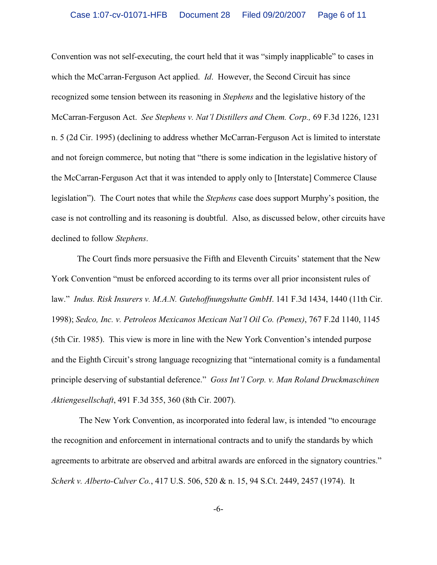Convention was not self-executing, the court held that it was "simply inapplicable" to cases in which the McCarran-Ferguson Act applied. *Id*. However, the Second Circuit has since recognized some tension between its reasoning in *Stephens* and the legislative history of the McCarran-Ferguson Act. *See Stephens v. Nat'l Distillers and Chem. Corp.,* 69 F.3d 1226, 1231 n. 5 (2d Cir. 1995) (declining to address whether McCarran-Ferguson Act is limited to interstate and not foreign commerce, but noting that "there is some indication in the legislative history of the McCarran-Ferguson Act that it was intended to apply only to [Interstate] Commerce Clause legislation"). The Court notes that while the *Stephens* case does support Murphy's position, the case is not controlling and its reasoning is doubtful. Also, as discussed below, other circuits have declined to follow *Stephens*.

The Court finds more persuasive the Fifth and Eleventh Circuits' statement that the New York Convention "must be enforced according to its terms over all prior inconsistent rules of law." *Indus. Risk Insurers v. M.A.N. Gutehoffnungshutte GmbH*. 141 F.3d 1434, 1440 (11th Cir. 1998); *Sedco, Inc. v. Petroleos Mexicanos Mexican Nat'l Oil Co. (Pemex)*, 767 F.2d 1140, 1145 (5th Cir. 1985). This view is more in line with the New York Convention's intended purpose and the Eighth Circuit's strong language recognizing that "international comity is a fundamental principle deserving of substantial deference." *Goss Int'l Corp. v. Man Roland Druckmaschinen Aktiengesellschaft*, 491 F.3d 355, 360 (8th Cir. 2007).

 The New York Convention, as incorporated into federal law, is intended "to encourage the recognition and enforcement in international contracts and to unify the standards by which agreements to arbitrate are observed and arbitral awards are enforced in the signatory countries." *Scherk v. Alberto-Culver Co.*, 417 U.S. 506, 520 & n. 15, 94 S.Ct. 2449, 2457 (1974). It

-6-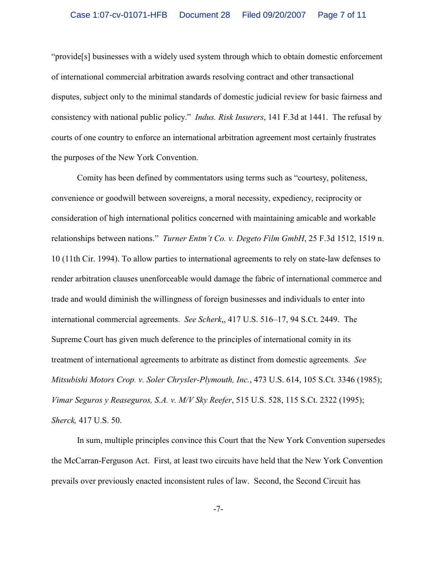"provide[s] businesses with a widely used system through which to obtain domestic enforcement of international commercial arbitration awards resolving contract and other transactional disputes, subject only to the minimal standards of domestic judicial review for basic fairness and consistency with national public policy." *Indus. Risk Insurers*, 141 F.3d at 1441. The refusal by courts of one country to enforce an international arbitration agreement most certainly frustrates the purposes of the New York Convention.

Comity has been defined by commentators using terms such as "courtesy, politeness, convenience or goodwill between sovereigns, a moral necessity, expediency, reciprocity or consideration of high international politics concerned with maintaining amicable and workable relationships between nations." *Turner Entm't Co. v. Degeto Film GmbH*, 25 F.3d 1512, 1519 n. 10 (11th Cir. 1994). To allow parties to international agreements to rely on state-law defenses to render arbitration clauses unenforceable would damage the fabric of international commerce and trade and would diminish the willingness of foreign businesses and individuals to enter into international commercial agreements. *See Scherk*,, 417 U.S. 516–17, 94 S.Ct. 2449. The Supreme Court has given much deference to the principles of international comity in its treatment of international agreements to arbitrate as distinct from domestic agreements. *See Mitsubishi Motors Crop. v. Soler Chrysler-Plymouth, Inc.*, 473 U.S. 614, 105 S.Ct. 3346 (1985); *Vimar Seguros y Reaseguros, S.A. v. M/V Sky Reefer*, 515 U.S. 528, 115 S.Ct. 2322 (1995); *Sherck,* 417 U.S. 50.

In sum, multiple principles convince this Court that the New York Convention supersedes the McCarran-Ferguson Act. First, at least two circuits have held that the New York Convention prevails over previously enacted inconsistent rules of law. Second, the Second Circuit has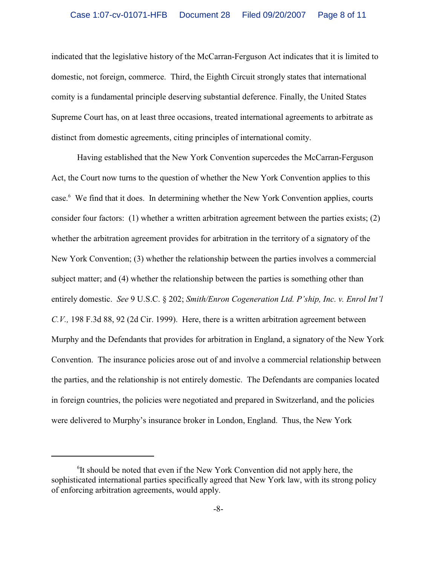indicated that the legislative history of the McCarran-Ferguson Act indicates that it is limited to domestic, not foreign, commerce. Third, the Eighth Circuit strongly states that international comity is a fundamental principle deserving substantial deference. Finally, the United States Supreme Court has, on at least three occasions, treated international agreements to arbitrate as distinct from domestic agreements, citing principles of international comity.

Having established that the New York Convention supercedes the McCarran-Ferguson Act, the Court now turns to the question of whether the New York Convention applies to this case.<sup>6</sup> We find that it does. In determining whether the New York Convention applies, courts consider four factors: (1) whether a written arbitration agreement between the parties exists; (2) whether the arbitration agreement provides for arbitration in the territory of a signatory of the New York Convention; (3) whether the relationship between the parties involves a commercial subject matter; and (4) whether the relationship between the parties is something other than entirely domestic. *See* 9 U.S.C. § 202; *Smith/Enron Cogeneration Ltd. P'ship, Inc. v. Enrol Int'l C.V.,* 198 F.3d 88, 92 (2d Cir. 1999). Here, there is a written arbitration agreement between Murphy and the Defendants that provides for arbitration in England, a signatory of the New York Convention. The insurance policies arose out of and involve a commercial relationship between the parties, and the relationship is not entirely domestic. The Defendants are companies located in foreign countries, the policies were negotiated and prepared in Switzerland, and the policies were delivered to Murphy's insurance broker in London, England. Thus, the New York

 ${}^{6}$ It should be noted that even if the New York Convention did not apply here, the sophisticated international parties specifically agreed that New York law, with its strong policy of enforcing arbitration agreements, would apply.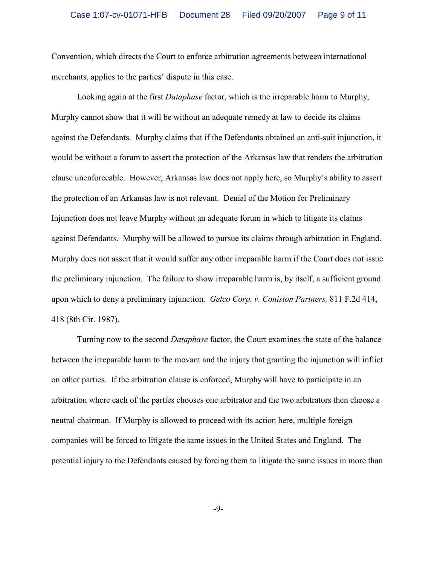Convention, which directs the Court to enforce arbitration agreements between international merchants, applies to the parties' dispute in this case.

Looking again at the first *Dataphase* factor, which is the irreparable harm to Murphy, Murphy cannot show that it will be without an adequate remedy at law to decide its claims against the Defendants. Murphy claims that if the Defendants obtained an anti-suit injunction, it would be without a forum to assert the protection of the Arkansas law that renders the arbitration clause unenforceable. However, Arkansas law does not apply here, so Murphy's ability to assert the protection of an Arkansas law is not relevant. Denial of the Motion for Preliminary Injunction does not leave Murphy without an adequate forum in which to litigate its claims against Defendants. Murphy will be allowed to pursue its claims through arbitration in England. Murphy does not assert that it would suffer any other irreparable harm if the Court does not issue the preliminary injunction. The failure to show irreparable harm is, by itself, a sufficient ground upon which to deny a preliminary injunction. *Gelco Corp. v. Coniston Partners,* 811 F.2d 414, 418 (8th Cir. 1987).

Turning now to the second *Dataphase* factor, the Court examines the state of the balance between the irreparable harm to the movant and the injury that granting the injunction will inflict on other parties. If the arbitration clause is enforced, Murphy will have to participate in an arbitration where each of the parties chooses one arbitrator and the two arbitrators then choose a neutral chairman. If Murphy is allowed to proceed with its action here, multiple foreign companies will be forced to litigate the same issues in the United States and England. The potential injury to the Defendants caused by forcing them to litigate the same issues in more than

-9-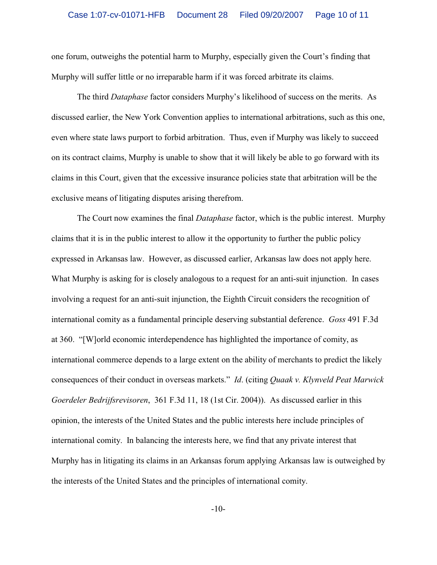one forum, outweighs the potential harm to Murphy, especially given the Court's finding that Murphy will suffer little or no irreparable harm if it was forced arbitrate its claims.

The third *Dataphase* factor considers Murphy's likelihood of success on the merits. As discussed earlier, the New York Convention applies to international arbitrations, such as this one, even where state laws purport to forbid arbitration. Thus, even if Murphy was likely to succeed on its contract claims, Murphy is unable to show that it will likely be able to go forward with its claims in this Court, given that the excessive insurance policies state that arbitration will be the exclusive means of litigating disputes arising therefrom.

The Court now examines the final *Dataphase* factor, which is the public interest. Murphy claims that it is in the public interest to allow it the opportunity to further the public policy expressed in Arkansas law. However, as discussed earlier, Arkansas law does not apply here. What Murphy is asking for is closely analogous to a request for an anti-suit injunction. In cases involving a request for an anti-suit injunction, the Eighth Circuit considers the recognition of international comity as a fundamental principle deserving substantial deference. *Goss* 491 F.3d at 360. "[W]orld economic interdependence has highlighted the importance of comity, as international commerce depends to a large extent on the ability of merchants to predict the likely consequences of their conduct in overseas markets." *Id*. (citing *Quaak v. Klynveld Peat Marwick Goerdeler Bedrijfsrevisoren*, 361 F.3d 11, 18 (1st Cir. 2004)). As discussed earlier in this opinion, the interests of the United States and the public interests here include principles of international comity. In balancing the interests here, we find that any private interest that Murphy has in litigating its claims in an Arkansas forum applying Arkansas law is outweighed by the interests of the United States and the principles of international comity.